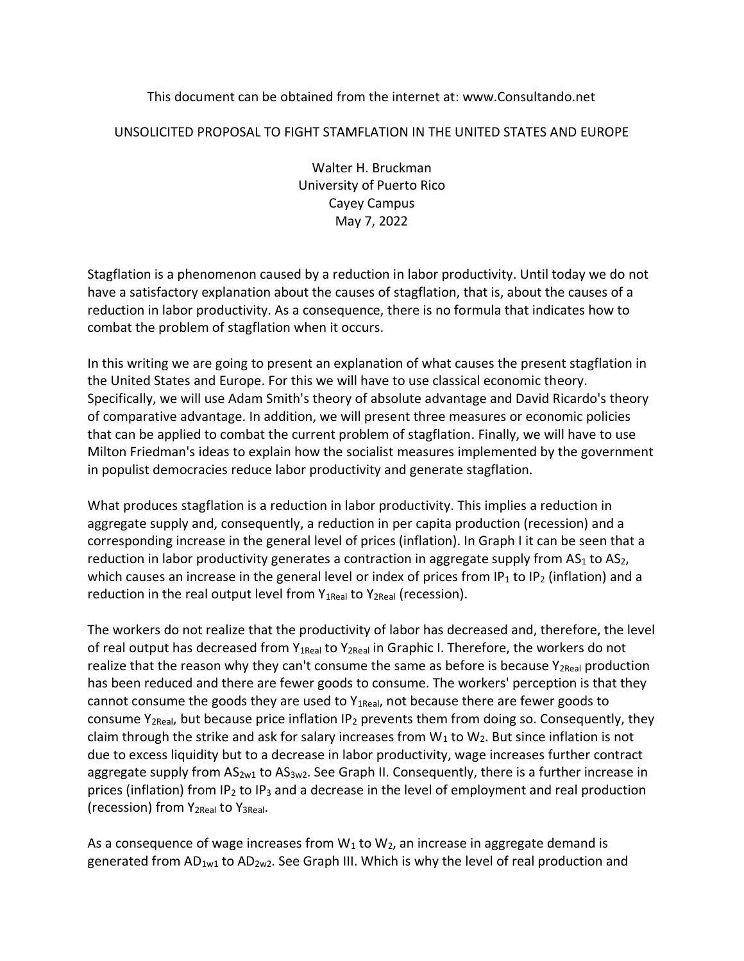### This document can be obtained from the internet at: www.Consultando.net

### UNSOLICITED PROPOSAL TO FIGHT STAMFLATION IN THE UNITED STATES AND EUROPE

Walter H. Bruckman University of Puerto Rico Cayey Campus May 7, 2022

Stagflation is a phenomenon caused by a reduction in labor productivity. Until today we do not have a satisfactory explanation about the causes of stagflation, that is, about the causes of a reduction in labor productivity. As a consequence, there is no formula that indicates how to combat the problem of stagflation when it occurs.

In this writing we are going to present an explanation of what causes the present stagflation in the United States and Europe. For this we will have to use classical economic theory. Specifically, we will use Adam Smith's theory of absolute advantage and David Ricardo's theory of comparative advantage. In addition, we will present three measures or economic policies that can be applied to combat the current problem of stagflation. Finally, we will have to use Milton Friedman's ideas to explain how the socialist measures implemented by the government in populist democracies reduce labor productivity and generate stagflation.

What produces stagflation is a reduction in labor productivity. This implies a reduction in aggregate supply and, consequently, a reduction in per capita production (recession) and a corresponding increase in the general level of prices (inflation). In Graph I it can be seen that a reduction in labor productivity generates a contraction in aggregate supply from  $AS<sub>1</sub>$  to  $AS<sub>2</sub>$ , which causes an increase in the general level or index of prices from IP<sub>1</sub> to IP<sub>2</sub> (inflation) and a reduction in the real output level from  $Y_{1Real}$  to  $Y_{2Real}$  (recession).

The workers do not realize that the productivity of labor has decreased and, therefore, the level of real output has decreased from Y<sub>1Real</sub> to Y<sub>2Real</sub> in Graphic I. Therefore, the workers do not realize that the reason why they can't consume the same as before is because  $Y_{2Real}$  production has been reduced and there are fewer goods to consume. The workers' perception is that they cannot consume the goods they are used to  $Y_{1\text{Real}}$ , not because there are fewer goods to consume  $Y_{2Real}$ , but because price inflation IP<sub>2</sub> prevents them from doing so. Consequently, they claim through the strike and ask for salary increases from  $W_1$  to  $W_2$ . But since inflation is not due to excess liquidity but to a decrease in labor productivity, wage increases further contract aggregate supply from  $AS_{2w1}$  to  $AS_{3w2}$ . See Graph II. Consequently, there is a further increase in prices (inflation) from IP<sub>2</sub> to IP<sub>3</sub> and a decrease in the level of employment and real production (recession) from  $Y_{2Real}$  to  $Y_{3Real}$ .

As a consequence of wage increases from  $W_1$  to  $W_2$ , an increase in aggregate demand is generated from AD<sub>1w1</sub> to AD<sub>2w2</sub>. See Graph III. Which is why the level of real production and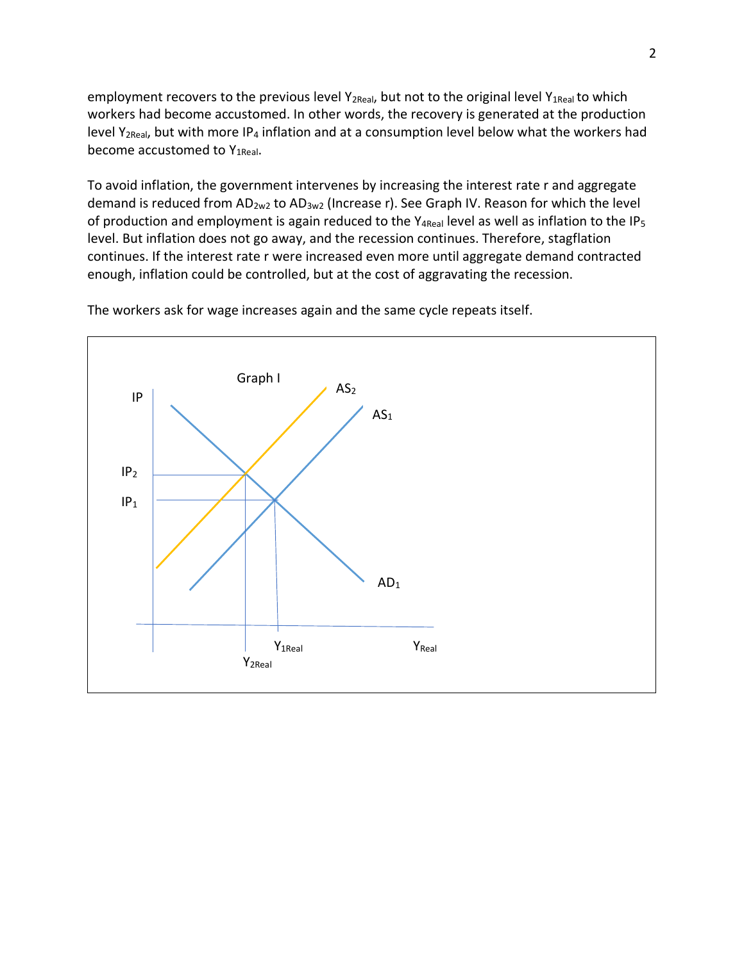employment recovers to the previous level Y<sub>2Real</sub>, but not to the original level Y<sub>1Real</sub> to which workers had become accustomed. In other words, the recovery is generated at the production level Y<sub>2Real</sub>, but with more IP<sub>4</sub> inflation and at a consumption level below what the workers had become accustomed to Y1Real.

To avoid inflation, the government intervenes by increasing the interest rate r and aggregate demand is reduced from AD<sub>2w2</sub> to AD<sub>3w2</sub> (Increase r). See Graph IV. Reason for which the level of production and employment is again reduced to the Y<sub>4Real</sub> level as well as inflation to the IP<sub>5</sub> level. But inflation does not go away, and the recession continues. Therefore, stagflation continues. If the interest rate r were increased even more until aggregate demand contracted enough, inflation could be controlled, but at the cost of aggravating the recession.



The workers ask for wage increases again and the same cycle repeats itself.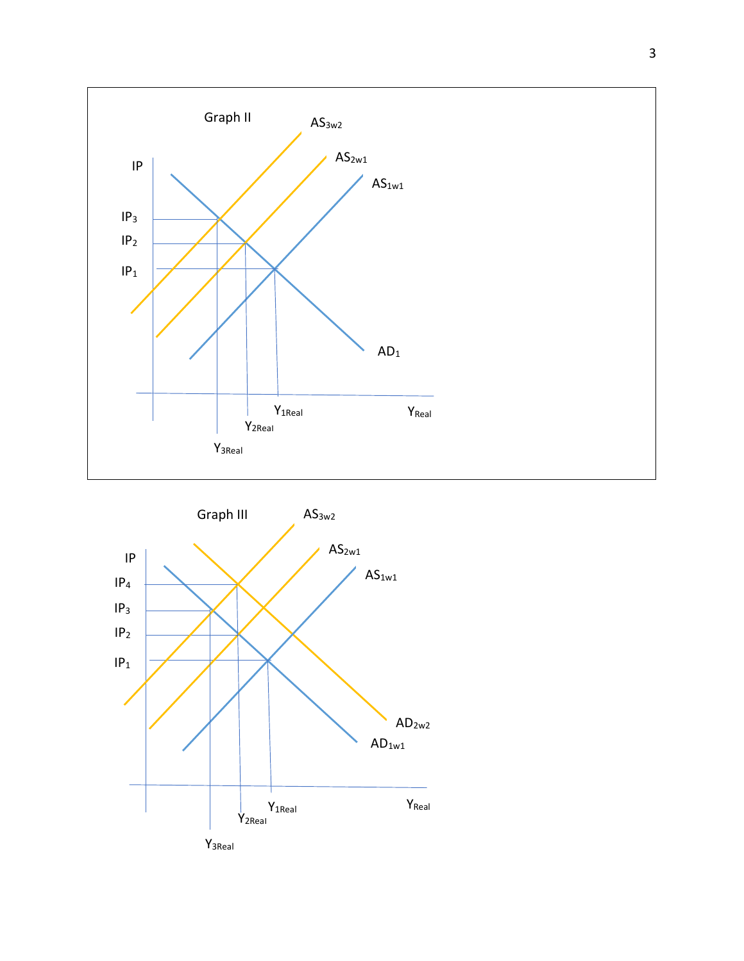

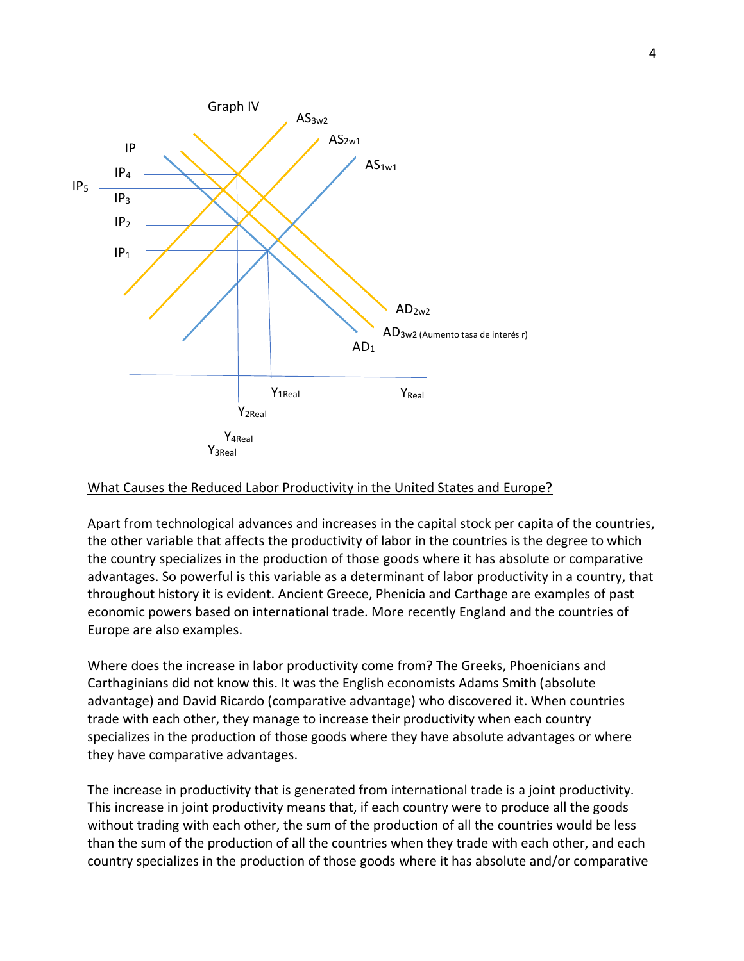

### What Causes the Reduced Labor Productivity in the United States and Europe?

Apart from technological advances and increases in the capital stock per capita of the countries, the other variable that affects the productivity of labor in the countries is the degree to which the country specializes in the production of those goods where it has absolute or comparative advantages. So powerful is this variable as a determinant of labor productivity in a country, that throughout history it is evident. Ancient Greece, Phenicia and Carthage are examples of past economic powers based on international trade. More recently England and the countries of Europe are also examples.

Where does the increase in labor productivity come from? The Greeks, Phoenicians and Carthaginians did not know this. It was the English economists Adams Smith (absolute advantage) and David Ricardo (comparative advantage) who discovered it. When countries trade with each other, they manage to increase their productivity when each country specializes in the production of those goods where they have absolute advantages or where they have comparative advantages.

The increase in productivity that is generated from international trade is a joint productivity. This increase in joint productivity means that, if each country were to produce all the goods without trading with each other, the sum of the production of all the countries would be less than the sum of the production of all the countries when they trade with each other, and each country specializes in the production of those goods where it has absolute and/or comparative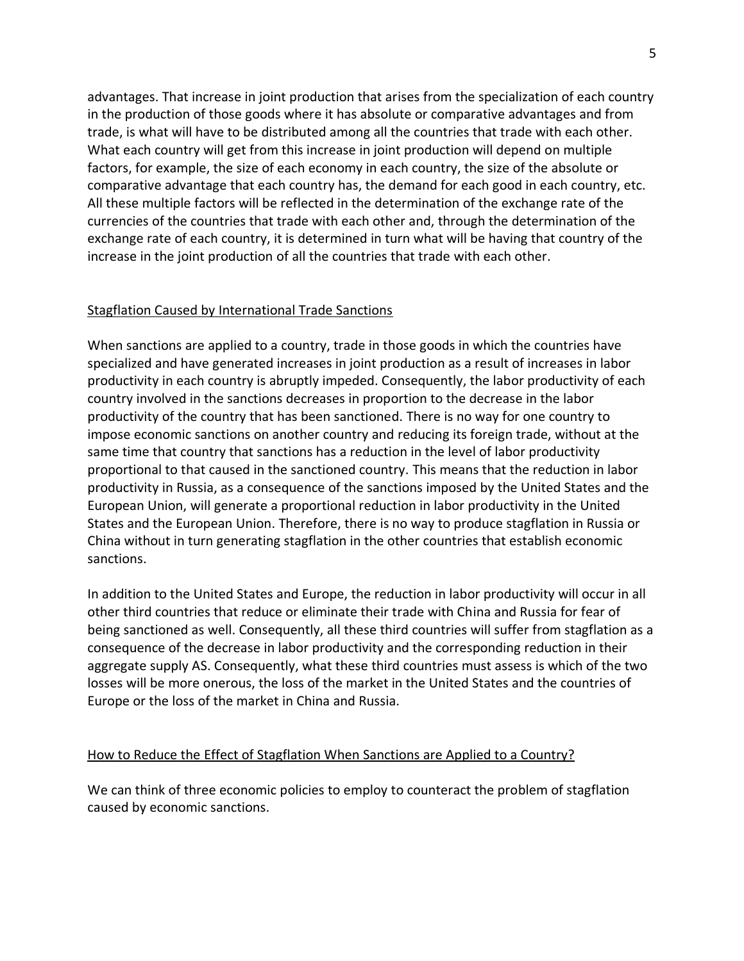advantages. That increase in joint production that arises from the specialization of each country in the production of those goods where it has absolute or comparative advantages and from trade, is what will have to be distributed among all the countries that trade with each other. What each country will get from this increase in joint production will depend on multiple factors, for example, the size of each economy in each country, the size of the absolute or comparative advantage that each country has, the demand for each good in each country, etc. All these multiple factors will be reflected in the determination of the exchange rate of the currencies of the countries that trade with each other and, through the determination of the exchange rate of each country, it is determined in turn what will be having that country of the increase in the joint production of all the countries that trade with each other.

#### Stagflation Caused by International Trade Sanctions

When sanctions are applied to a country, trade in those goods in which the countries have specialized and have generated increases in joint production as a result of increases in labor productivity in each country is abruptly impeded. Consequently, the labor productivity of each country involved in the sanctions decreases in proportion to the decrease in the labor productivity of the country that has been sanctioned. There is no way for one country to impose economic sanctions on another country and reducing its foreign trade, without at the same time that country that sanctions has a reduction in the level of labor productivity proportional to that caused in the sanctioned country. This means that the reduction in labor productivity in Russia, as a consequence of the sanctions imposed by the United States and the European Union, will generate a proportional reduction in labor productivity in the United States and the European Union. Therefore, there is no way to produce stagflation in Russia or China without in turn generating stagflation in the other countries that establish economic sanctions.

In addition to the United States and Europe, the reduction in labor productivity will occur in all other third countries that reduce or eliminate their trade with China and Russia for fear of being sanctioned as well. Consequently, all these third countries will suffer from stagflation as a consequence of the decrease in labor productivity and the corresponding reduction in their aggregate supply AS. Consequently, what these third countries must assess is which of the two losses will be more onerous, the loss of the market in the United States and the countries of Europe or the loss of the market in China and Russia.

#### How to Reduce the Effect of Stagflation When Sanctions are Applied to a Country?

We can think of three economic policies to employ to counteract the problem of stagflation caused by economic sanctions.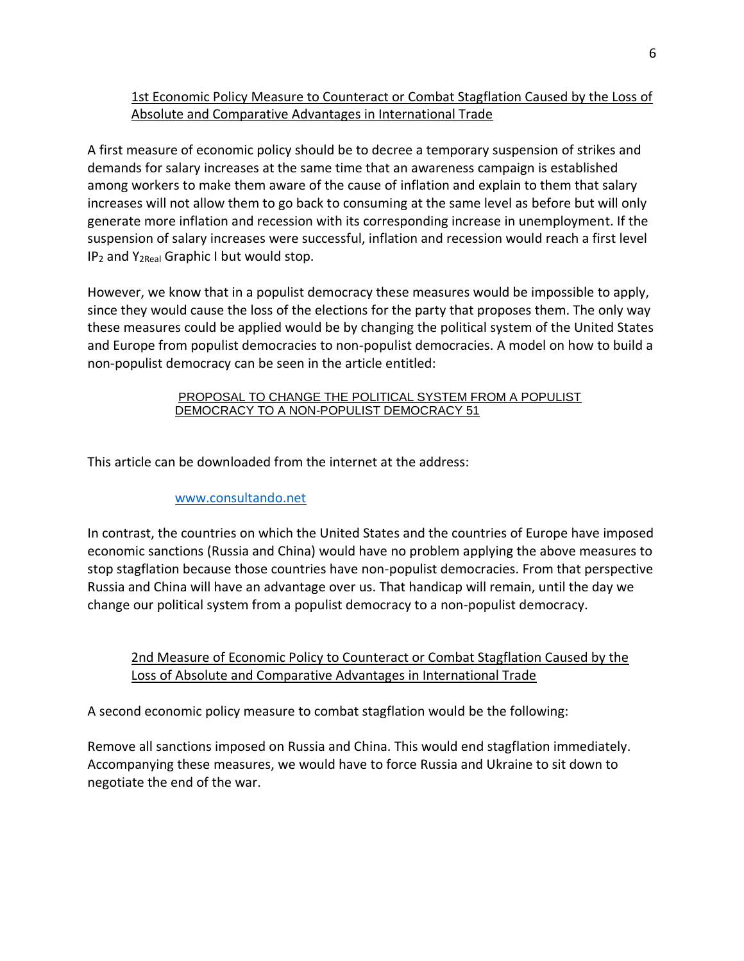# 1st Economic Policy Measure to Counteract or Combat Stagflation Caused by the Loss of Absolute and Comparative Advantages in International Trade

A first measure of economic policy should be to decree a temporary suspension of strikes and demands for salary increases at the same time that an awareness campaign is established among workers to make them aware of the cause of inflation and explain to them that salary increases will not allow them to go back to consuming at the same level as before but will only generate more inflation and recession with its corresponding increase in unemployment. If the suspension of salary increases were successful, inflation and recession would reach a first level IP<sup>2</sup> and Y2Real Graphic I but would stop.

However, we know that in a populist democracy these measures would be impossible to apply, since they would cause the loss of the elections for the party that proposes them. The only way these measures could be applied would be by changing the political system of the United States and Europe from populist democracies to non-populist democracies. A model on how to build a non-populist democracy can be seen in the article entitled:

#### [PROPOSAL TO CHANGE THE POLITICAL SYSTEM FROM A POPULIST](http://consultando.net/SharedFiles/Download.aspx?pageid=1011&mid=1017&fileid=4116)  [DEMOCRACY TO A NON-POPULIST DEMOCRACY 51](http://consultando.net/SharedFiles/Download.aspx?pageid=1011&mid=1017&fileid=4116)

This article can be downloaded from the internet at the address:

### [www.consultando.net](http://www.consultando.net/)

In contrast, the countries on which the United States and the countries of Europe have imposed economic sanctions (Russia and China) would have no problem applying the above measures to stop stagflation because those countries have non-populist democracies. From that perspective Russia and China will have an advantage over us. That handicap will remain, until the day we change our political system from a populist democracy to a non-populist democracy.

2nd Measure of Economic Policy to Counteract or Combat Stagflation Caused by the Loss of Absolute and Comparative Advantages in International Trade

A second economic policy measure to combat stagflation would be the following:

Remove all sanctions imposed on Russia and China. This would end stagflation immediately. Accompanying these measures, we would have to force Russia and Ukraine to sit down to negotiate the end of the war.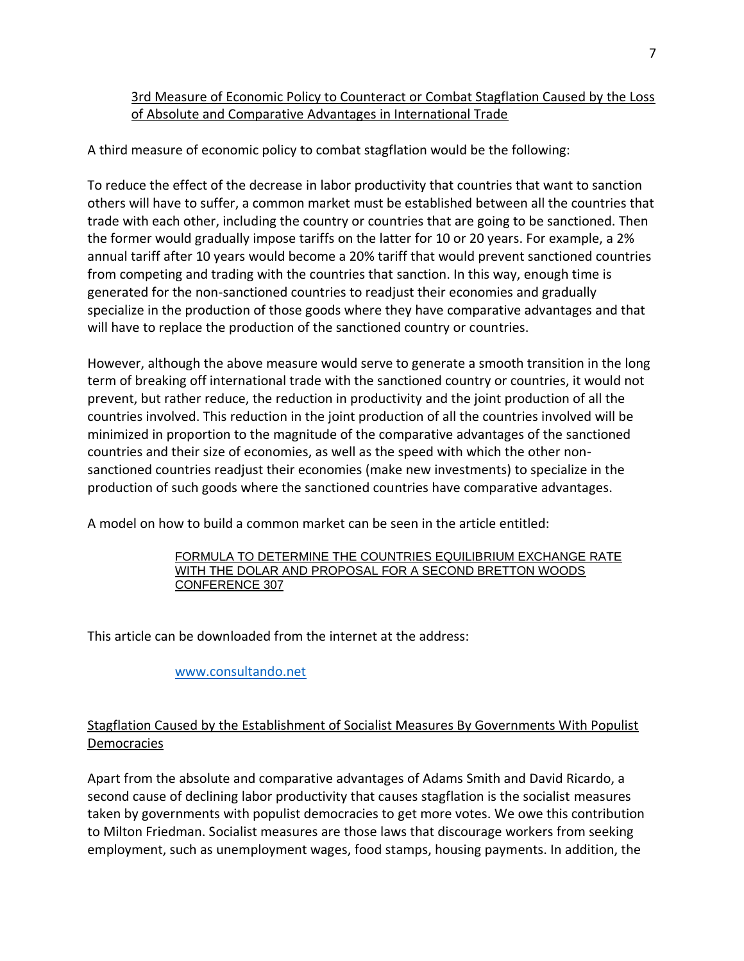# 3rd Measure of Economic Policy to Counteract or Combat Stagflation Caused by the Loss of Absolute and Comparative Advantages in International Trade

A third measure of economic policy to combat stagflation would be the following:

To reduce the effect of the decrease in labor productivity that countries that want to sanction others will have to suffer, a common market must be established between all the countries that trade with each other, including the country or countries that are going to be sanctioned. Then the former would gradually impose tariffs on the latter for 10 or 20 years. For example, a 2% annual tariff after 10 years would become a 20% tariff that would prevent sanctioned countries from competing and trading with the countries that sanction. In this way, enough time is generated for the non-sanctioned countries to readjust their economies and gradually specialize in the production of those goods where they have comparative advantages and that will have to replace the production of the sanctioned country or countries.

However, although the above measure would serve to generate a smooth transition in the long term of breaking off international trade with the sanctioned country or countries, it would not prevent, but rather reduce, the reduction in productivity and the joint production of all the countries involved. This reduction in the joint production of all the countries involved will be minimized in proportion to the magnitude of the comparative advantages of the sanctioned countries and their size of economies, as well as the speed with which the other nonsanctioned countries readjust their economies (make new investments) to specialize in the production of such goods where the sanctioned countries have comparative advantages.

A model on how to build a common market can be seen in the article entitled:

#### [FORMULA TO DETERMINE THE COUNTRIES EQUILIBRIUM EXCHANGE RATE](http://consultando.net/SharedFiles/Download.aspx?pageid=1011&mid=1017&fileid=8120)  [WITH THE DOLAR AND PROPOSAL FOR A SECOND BRETTON WOODS](http://consultando.net/SharedFiles/Download.aspx?pageid=1011&mid=1017&fileid=8120)  [CONFERENCE 307](http://consultando.net/SharedFiles/Download.aspx?pageid=1011&mid=1017&fileid=8120)

This article can be downloaded from the internet at the address:

[www.consultando.net](http://www.consultando.net/)

# Stagflation Caused by the Establishment of Socialist Measures By Governments With Populist Democracies

Apart from the absolute and comparative advantages of Adams Smith and David Ricardo, a second cause of declining labor productivity that causes stagflation is the socialist measures taken by governments with populist democracies to get more votes. We owe this contribution to Milton Friedman. Socialist measures are those laws that discourage workers from seeking employment, such as unemployment wages, food stamps, housing payments. In addition, the